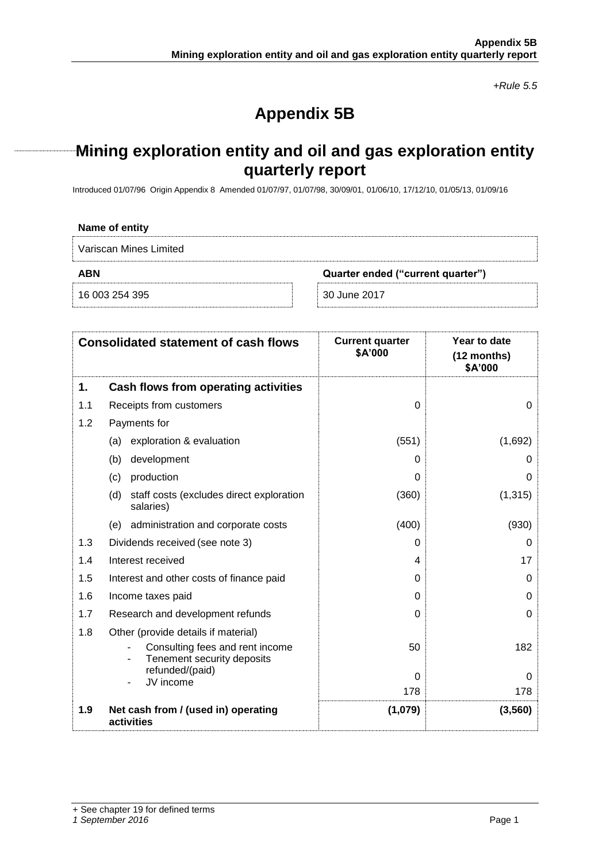*+Rule 5.5*

# **Appendix 5B**

# **Mining exploration entity and oil and gas exploration entity quarterly report**

Introduced 01/07/96 Origin Appendix 8 Amended 01/07/97, 01/07/98, 30/09/01, 01/06/10, 17/12/10, 01/05/13, 01/09/16

### **Name of entity**

Variscan Mines Limited

**ABN Quarter ended ("current quarter")**

16 003 254 395 30 June 2017

|     | <b>Consolidated statement of cash flows</b>                   | <b>Current quarter</b><br><b>\$A'000</b> | Year to date<br>(12 months)<br>\$A'000 |
|-----|---------------------------------------------------------------|------------------------------------------|----------------------------------------|
| 1.  | Cash flows from operating activities                          |                                          |                                        |
| 1.1 | Receipts from customers                                       | $\Omega$                                 | $\Omega$                               |
| 1.2 | Payments for                                                  |                                          |                                        |
|     | exploration & evaluation<br>(a)                               | (551)                                    | (1,692)                                |
|     | development<br>(b)                                            | 0                                        |                                        |
|     | production<br>(c)                                             | 0                                        | O                                      |
|     | (d)<br>staff costs (excludes direct exploration<br>salaries)  | (360)                                    | (1, 315)                               |
|     | (e) administration and corporate costs                        | (400)                                    | (930)                                  |
| 1.3 | Dividends received (see note 3)                               | 0                                        | O                                      |
| 1.4 | Interest received                                             | 4                                        | 17                                     |
| 1.5 | Interest and other costs of finance paid                      | 0                                        | 0                                      |
| 1.6 | Income taxes paid                                             | 0                                        | 0                                      |
| 1.7 | Research and development refunds                              | 0                                        | 0                                      |
| 1.8 | Other (provide details if material)                           |                                          |                                        |
|     | Consulting fees and rent income<br>Tenement security deposits | 50                                       | 182                                    |
|     | refunded/(paid)<br>JV income                                  | $\Omega$                                 | 0                                      |
|     |                                                               | 178                                      | 178                                    |
| 1.9 | Net cash from / (used in) operating<br>activities             | (1,079)                                  | (3, 560)                               |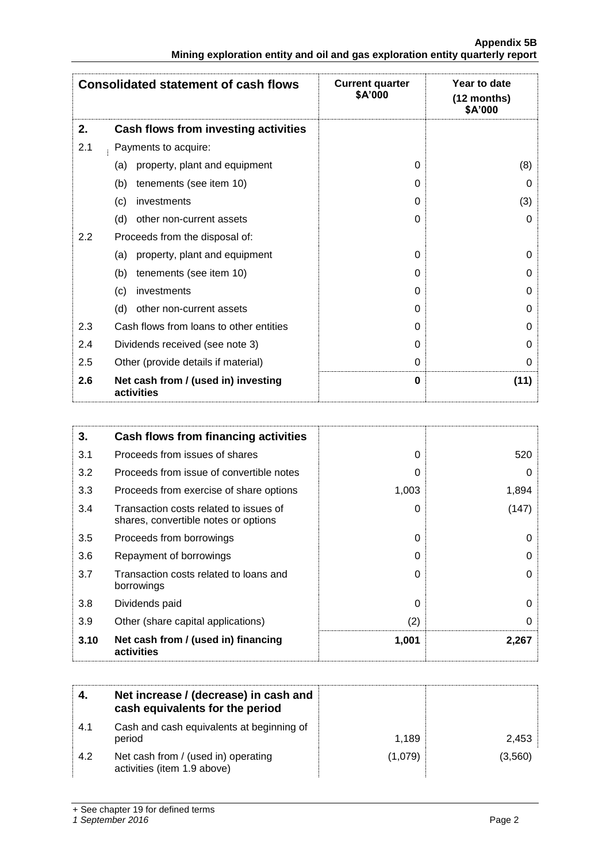|                                                                               | <b>Appendix 5B</b> |
|-------------------------------------------------------------------------------|--------------------|
| Mining exploration entity and oil and gas exploration entity quarterly report |                    |

|     | <b>Consolidated statement of cash flows</b>       | <b>Current quarter</b><br>\$A'000 | Year to date<br>$(12$ months)<br>\$A'000 |
|-----|---------------------------------------------------|-----------------------------------|------------------------------------------|
| 2.  | Cash flows from investing activities              |                                   |                                          |
| 2.1 | Payments to acquire:                              |                                   |                                          |
|     | property, plant and equipment<br>(a)              | $\Omega$                          | (8)                                      |
|     | tenements (see item 10)<br>(b)                    | 0                                 | 0                                        |
|     | (c)<br>investments                                | $\Omega$                          | (3)                                      |
|     | (d)<br>other non-current assets                   | $\Omega$                          | $\Omega$                                 |
| 2.2 | Proceeds from the disposal of:                    |                                   |                                          |
|     | property, plant and equipment<br>(a)              | $\Omega$                          | 0                                        |
|     | tenements (see item 10)<br>(b)                    | $\Omega$                          | 0                                        |
|     | investments<br>(c)                                | 0                                 | 0                                        |
|     | (d)<br>other non-current assets                   | $\Omega$                          | 0                                        |
| 2.3 | Cash flows from loans to other entities           | 0                                 | 0                                        |
| 2.4 | Dividends received (see note 3)                   | $\Omega$                          | 0                                        |
| 2.5 | Other (provide details if material)               | 0                                 | 0                                        |
| 2.6 | Net cash from / (used in) investing<br>activities | $\bf{0}$                          | (11)                                     |

| 3.   | Cash flows from financing activities                                           |          |       |
|------|--------------------------------------------------------------------------------|----------|-------|
| 3.1  | Proceeds from issues of shares                                                 | $\Omega$ | 520   |
| 3.2  | Proceeds from issue of convertible notes                                       | 0        | O     |
| 3.3  | Proceeds from exercise of share options                                        | 1,003    | 1,894 |
| 3.4  | Transaction costs related to issues of<br>shares, convertible notes or options | $\Omega$ | (147) |
| 3.5  | Proceeds from borrowings                                                       | $\Omega$ | 0     |
| 3.6  | Repayment of borrowings                                                        | 0        | 0     |
| 3.7  | Transaction costs related to loans and<br>borrowings                           | 0        | 0     |
| 3.8  | Dividends paid                                                                 | $\Omega$ | 0     |
| 3.9  | Other (share capital applications)                                             | (2)      | 0     |
| 3.10 | Net cash from / (used in) financing<br>activities                              | 1,001    | 2,267 |

|     | Net increase / (decrease) in cash and<br>cash equivalents for the period |         |         |
|-----|--------------------------------------------------------------------------|---------|---------|
| 4.1 | Cash and cash equivalents at beginning of<br>period                      | 1.189   | 2,453   |
| 4.2 | Net cash from / (used in) operating<br>activities (item 1.9 above)       | (1,079) | (3,560) |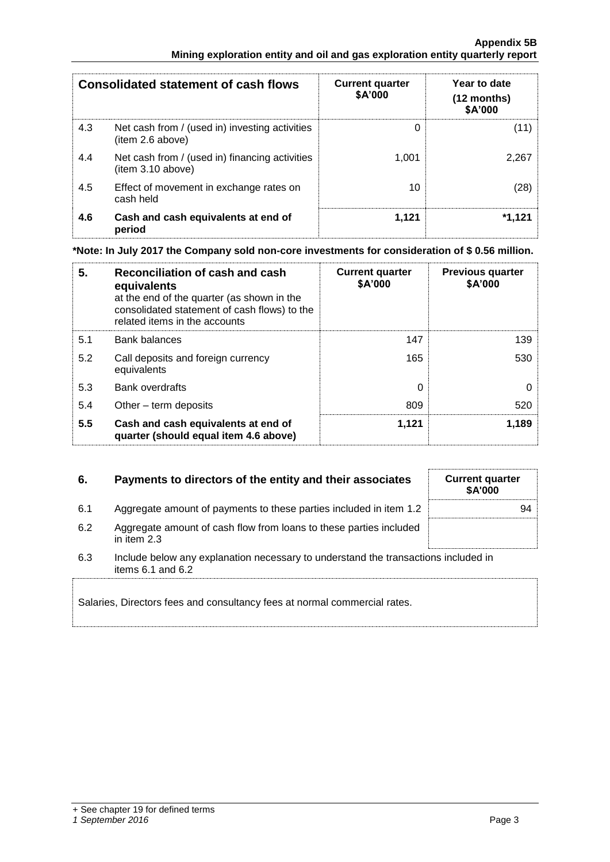|     | <b>Consolidated statement of cash flows</b>                        | <b>Current quarter</b><br>\$A'000 | Year to date<br>(12 months)<br>\$A'000 |
|-----|--------------------------------------------------------------------|-----------------------------------|----------------------------------------|
| 4.3 | Net cash from / (used in) investing activities<br>item 2.6 above)  |                                   | (11)                                   |
| 4.4 | Net cash from / (used in) financing activities<br>item 3.10 above) | 1.001                             | 2.267                                  |
| 4.5 | Effect of movement in exchange rates on<br>cash held               | 10                                | (28)                                   |
| 4.6 | Cash and cash equivalents at end of<br>period                      | 1,121                             | *1.121                                 |

**\*Note: In July 2017 the Company sold non-core investments for consideration of \$ 0.56 million.** 

| 5.  | Reconciliation of cash and cash<br>equivalents<br>at the end of the quarter (as shown in the<br>consolidated statement of cash flows) to the<br>related items in the accounts | <b>Current quarter</b><br>\$A'000 | <b>Previous quarter</b><br>\$A'000 |
|-----|-------------------------------------------------------------------------------------------------------------------------------------------------------------------------------|-----------------------------------|------------------------------------|
| 5.1 | <b>Bank balances</b>                                                                                                                                                          | 147                               | 139                                |
| 5.2 | Call deposits and foreign currency<br>equivalents                                                                                                                             | 165                               | 530                                |
| 5.3 | Bank overdrafts                                                                                                                                                               | 0                                 |                                    |
| 5.4 | Other – term deposits                                                                                                                                                         | 809                               | 520                                |
| 5.5 | Cash and cash equivalents at end of<br>quarter (should equal item 4.6 above)                                                                                                  | 1,121                             | 1.189                              |

# **6.** Payments to directors of the entity and their associates Current quarter

| 6.1           | Aggregate amount of payments to these parties included in item 1.2 |  |
|---------------|--------------------------------------------------------------------|--|
|               |                                                                    |  |
| $\sim$ $\sim$ |                                                                    |  |

| 6.2 | Aggregate amount of cash flow from loans to these parties included |
|-----|--------------------------------------------------------------------|
|     | in item 2.3                                                        |

<sup>6.3</sup> Include below any explanation necessary to understand the transactions included in items 6.1 and 6.2

Salaries, Directors fees and consultancy fees at normal commercial rates.

**\$A'000**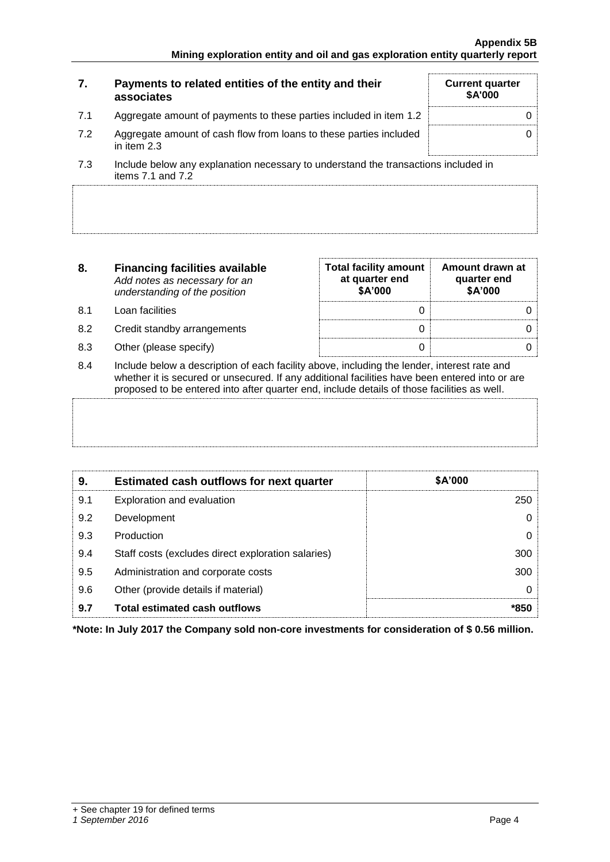| 7.  | Payments to related entities of the entity and their<br>associates                | <b>Current quarter</b><br><b>\$A'000</b> |
|-----|-----------------------------------------------------------------------------------|------------------------------------------|
| 7.1 | Aggregate amount of payments to these parties included in item 1.2                |                                          |
| 7.2 | Aggregate amount of cash flow from loans to these parties included<br>in item 2.3 |                                          |

7.3 Include below any explanation necessary to understand the transactions included in items 7.1 and 7.2

| 8. | <b>Financing facilities available</b> |
|----|---------------------------------------|
|    | Add notes as necessary for an         |
|    | understanding of the position         |

- 8.1 Loan facilities
- 8.2 Credit standby arrangements
- 8.3 Other (please specify)

| <b>Total facility amount</b><br>at quarter end<br>\$A'000 | Amount drawn at<br>quarter end<br>\$A'000 |
|-----------------------------------------------------------|-------------------------------------------|
|                                                           |                                           |
|                                                           |                                           |
|                                                           |                                           |

8.4 Include below a description of each facility above, including the lender, interest rate and whether it is secured or unsecured. If any additional facilities have been entered into or are proposed to be entered into after quarter end, include details of those facilities as well.

| ∩ | Estimated each outflows for nort quarter | <b>CA'NON</b> |  |
|---|------------------------------------------|---------------|--|
|   |                                          |               |  |
|   |                                          |               |  |
|   |                                          |               |  |
|   |                                          |               |  |
|   |                                          |               |  |

| 9.  | <b>Estimated cash outflows for next quarter</b>    | \$A'000 |
|-----|----------------------------------------------------|---------|
| 9.1 | Exploration and evaluation                         | 250     |
| 9.2 | Development                                        | O       |
| 9.3 | Production                                         |         |
| 9.4 | Staff costs (excludes direct exploration salaries) | 300     |
| 9.5 | Administration and corporate costs                 | 300     |
| 9.6 | Other (provide details if material)                | O       |
| 9.7 | <b>Total estimated cash outflows</b>               | *850    |

**\*Note: In July 2017 the Company sold non-core investments for consideration of \$ 0.56 million.**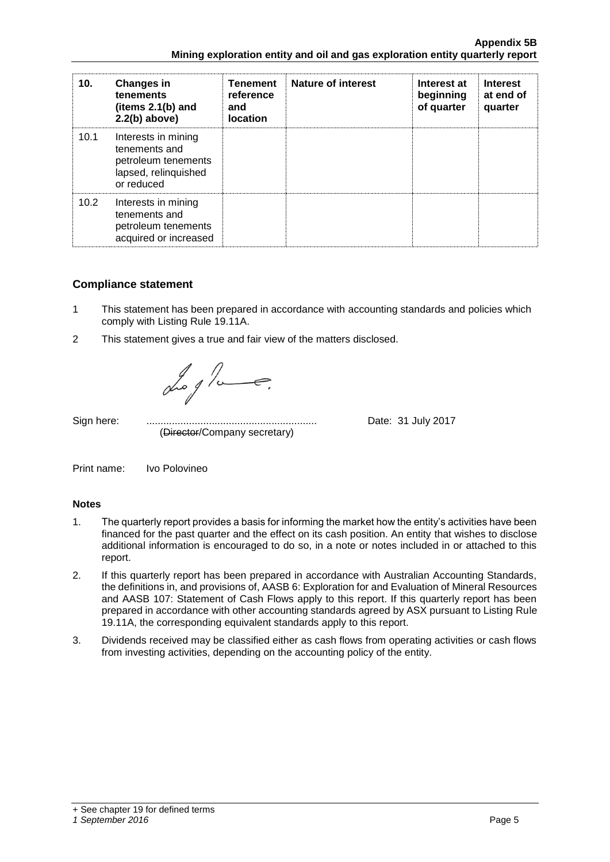| 10.  | <b>Changes in</b><br>tenements<br>(items $2.1(b)$ and<br>$2.2(b)$ above)                          | <b>Tenement</b><br>reference<br>and<br>location | <b>Nature of interest</b> | Interest at<br>beginning<br>of quarter | <b>Interest</b><br>at end of<br>quarter |
|------|---------------------------------------------------------------------------------------------------|-------------------------------------------------|---------------------------|----------------------------------------|-----------------------------------------|
| 10.1 | Interests in mining<br>tenements and<br>petroleum tenements<br>lapsed, relinquished<br>or reduced |                                                 |                           |                                        |                                         |
| 10.2 | Interests in mining<br>tenements and<br>petroleum tenements<br>acquired or increased              |                                                 |                           |                                        |                                         |

## **Compliance statement**

- 1 This statement has been prepared in accordance with accounting standards and policies which comply with Listing Rule 19.11A.
- 2 This statement gives a true and fair view of the matters disclosed.

Log a

(Director/Company secretary)

Sign here: ............................................................ Date: 31 July 2017

Print name: Ivo Polovineo

## **Notes**

- 1. The quarterly report provides a basis for informing the market how the entity's activities have been financed for the past quarter and the effect on its cash position. An entity that wishes to disclose additional information is encouraged to do so, in a note or notes included in or attached to this report.
- 2. If this quarterly report has been prepared in accordance with Australian Accounting Standards, the definitions in, and provisions of, AASB 6: Exploration for and Evaluation of Mineral Resources and AASB 107: Statement of Cash Flows apply to this report. If this quarterly report has been prepared in accordance with other accounting standards agreed by ASX pursuant to Listing Rule 19.11A, the corresponding equivalent standards apply to this report.
- 3. Dividends received may be classified either as cash flows from operating activities or cash flows from investing activities, depending on the accounting policy of the entity.